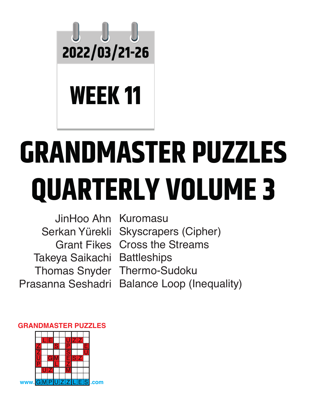

## **WEEK 11**

# **GRANDMASTER PUZZLES QUARTERLY VOLUME 3**

JinHoo Ahn Kuromasu Serkan Yürekli Takeya Saikachi Battleships Prasanna Seshadri

Grant Fikes Cross the Streams Thomas Snyder Thermo-Sudoku Skyscrapers (Cipher) Balance Loop (Inequality)

#### **GRANDMASTER PUZZLES**

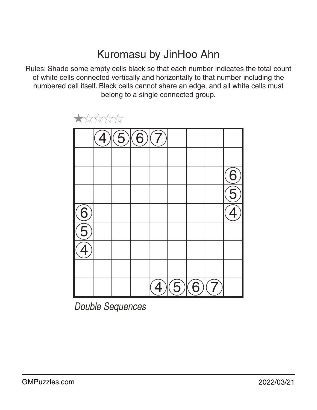#### Kuromasu by JinHoo Ahn

Rules: Shade some empty cells black so that each number indicates the total count of white cells connected vertically and horizontally to that number including the numbered cell itself. Black cells cannot share an edge, and all white cells must belong to a single connected group.



 $\bigstar$ \*\*\*\*

*Double Sequences*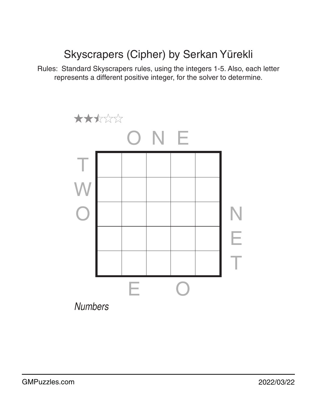### Skyscrapers (Cipher) by Serkan Yürekli

Rules: Standard Skyscrapers rules, using the integers 1-5. Also, each letter represents a different positive integer, for the solver to determine.

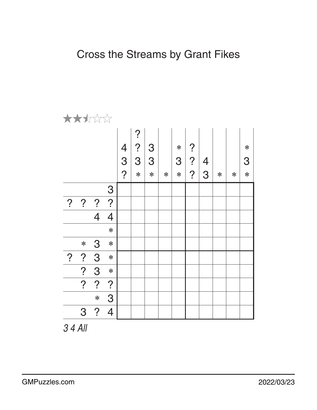| ★★★☆☆          |                |                |                |                |                |        |        |        |                |                |        |        |        |
|----------------|----------------|----------------|----------------|----------------|----------------|--------|--------|--------|----------------|----------------|--------|--------|--------|
|                |                |                |                |                | $\overline{?}$ |        |        |        |                |                |        |        |        |
|                |                |                |                |                | $\overline{?}$ | 3      |        | $\ast$ | $\overline{?}$ |                |        |        | $\ast$ |
|                |                |                |                | $\frac{4}{3}$  | 3              | 3      |        | 3      | $\overline{?}$ | $\overline{4}$ |        |        | 3      |
|                |                |                |                | $\overline{?}$ | $\ast$         | $\ast$ | $\ast$ | $\ast$ | $\overline{?}$ | 3              | $\ast$ | $\ast$ | $\ast$ |
|                |                |                | 3              |                |                |        |        |        |                |                |        |        |        |
| $\overline{?}$ | $\overline{?}$ | $\overline{?}$ | $\overline{?}$ |                |                |        |        |        |                |                |        |        |        |
|                |                | $\overline{4}$ | $\overline{4}$ |                |                |        |        |        |                |                |        |        |        |
|                |                |                | $\ast$         |                |                |        |        |        |                |                |        |        |        |
|                | $\ast$         | 3              | $\ast$         |                |                |        |        |        |                |                |        |        |        |
| $\overline{?}$ | $\cdot$        | 3              | $\ast$         |                |                |        |        |        |                |                |        |        |        |
|                | ?              | 3              | $\ast$         |                |                |        |        |        |                |                |        |        |        |
|                | $\overline{?}$ | ?              | $\overline{?}$ |                |                |        |        |        |                |                |        |        |        |
|                |                | $\ast$         | 3              |                |                |        |        |        |                |                |        |        |        |
|                | 3              | $\overline{?}$ | $\overline{4}$ |                |                |        |        |        |                |                |        |        |        |

*3 4 All*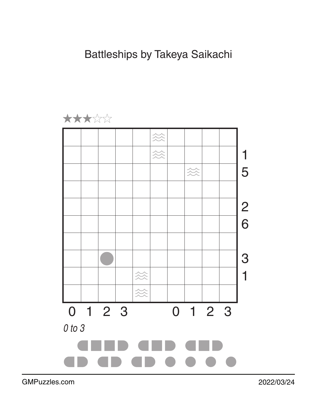

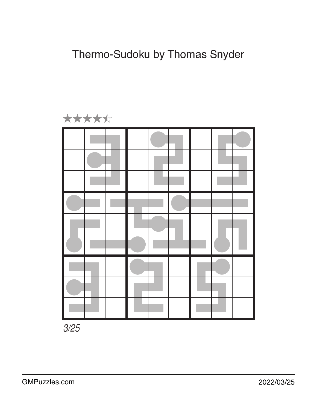

*3/25*